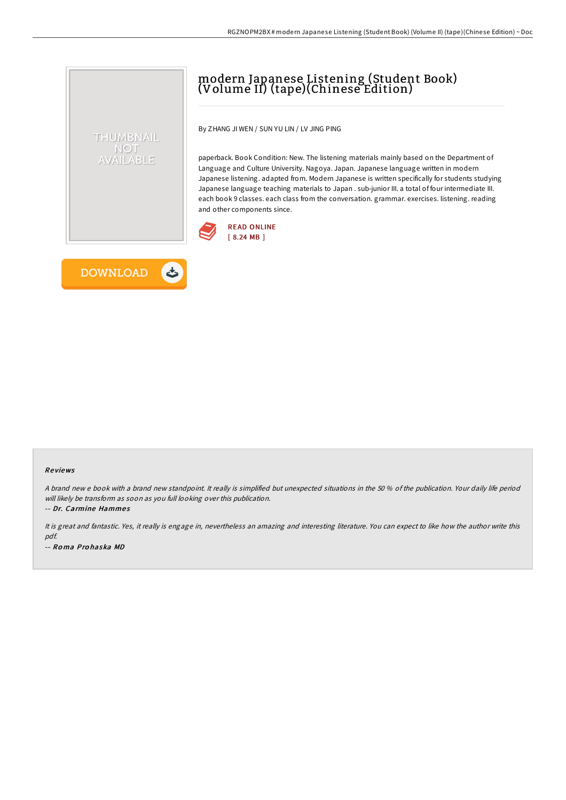# modern Japanese Listening (Student Book) (Volume II) (tape)(Chinese Edition)

By ZHANG JI WEN / SUN YU LIN / LV JING PING

paperback. Book Condition: New. The listening materials mainly based on the Department of Language and Culture University. Nagoya. Japan. Japanese language written in modern Japanese listening. adapted from. Modern Japanese is written specifically for students studying Japanese language teaching materials to Japan . sub-junior III. a total of four intermediate III. each book 9 classes. each class from the conversation. grammar. exercises. listening. reading and other components since.





THUMBNAIL NOT AVAILABLE

#### Re views

A brand new <sup>e</sup> book with <sup>a</sup> brand new standpoint. It really is simplified but unexpected situations in the 50 % of the publication. Your daily life period will likely be transform as soon as you full looking over this publication.

-- Dr. Carmine Hammes

It is great and fantastic. Yes, it really is engage in, nevertheless an amazing and interesting literature. You can expect to like how the author write this pdf. -- Ro ma Pro haska MD